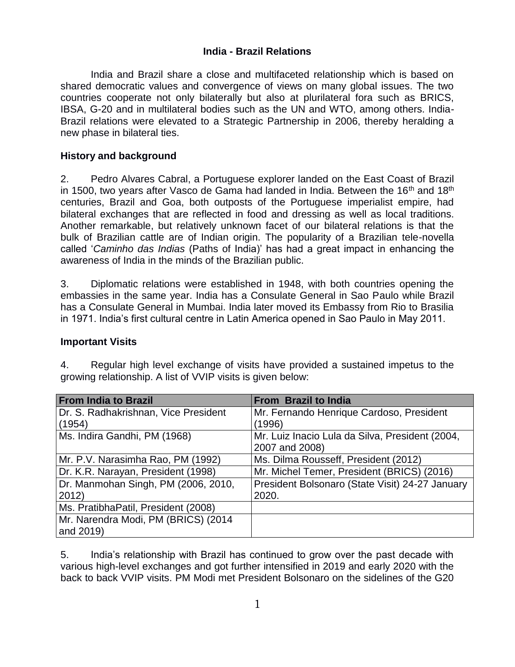#### **India - Brazil Relations**

India and Brazil share a close and multifaceted relationship which is based on shared democratic values and convergence of views on many global issues. The two countries cooperate not only bilaterally but also at plurilateral fora such as BRICS, IBSA, G-20 and in multilateral bodies such as the UN and WTO, among others. India-Brazil relations were elevated to a Strategic Partnership in 2006, thereby heralding a new phase in bilateral ties.

#### **History and background**

2. Pedro Alvares Cabral, a Portuguese explorer landed on the East Coast of Brazil in 1500, two years after Vasco de Gama had landed in India. Between the 16<sup>th</sup> and 18<sup>th</sup> centuries, Brazil and Goa, both outposts of the Portuguese imperialist empire, had bilateral exchanges that are reflected in food and dressing as well as local traditions. Another remarkable, but relatively unknown facet of our bilateral relations is that the bulk of Brazilian cattle are of Indian origin. The popularity of a Brazilian tele-novella called '*Caminho das Indias* (Paths of India)' has had a great impact in enhancing the awareness of India in the minds of the Brazilian public.

3. Diplomatic relations were established in 1948, with both countries opening the embassies in the same year. India has a Consulate General in Sao Paulo while Brazil has a Consulate General in Mumbai. India later moved its Embassy from Rio to Brasilia in 1971. India's first cultural centre in Latin America opened in Sao Paulo in May 2011.

#### **Important Visits**

4. Regular high level exchange of visits have provided a sustained impetus to the growing relationship. A list of VVIP visits is given below:

| <b>From India to Brazil</b>          | From Brazil to India                            |
|--------------------------------------|-------------------------------------------------|
| Dr. S. Radhakrishnan, Vice President | Mr. Fernando Henrique Cardoso, President        |
| (1954)                               | (1996)                                          |
| Ms. Indira Gandhi, PM (1968)         | Mr. Luiz Inacio Lula da Silva, President (2004, |
|                                      | 2007 and 2008)                                  |
| Mr. P.V. Narasimha Rao, PM (1992)    | Ms. Dilma Rousseff, President (2012)            |
| Dr. K.R. Narayan, President (1998)   | Mr. Michel Temer, President (BRICS) (2016)      |
| Dr. Manmohan Singh, PM (2006, 2010,  | President Bolsonaro (State Visit) 24-27 January |
| 2012)                                | 2020.                                           |
| Ms. PratibhaPatil, President (2008)  |                                                 |
| Mr. Narendra Modi, PM (BRICS) (2014  |                                                 |
| and 2019)                            |                                                 |

5. India's relationship with Brazil has continued to grow over the past decade with various high-level exchanges and got further intensified in 2019 and early 2020 with the back to back VVIP visits. PM Modi met President Bolsonaro on the sidelines of the G20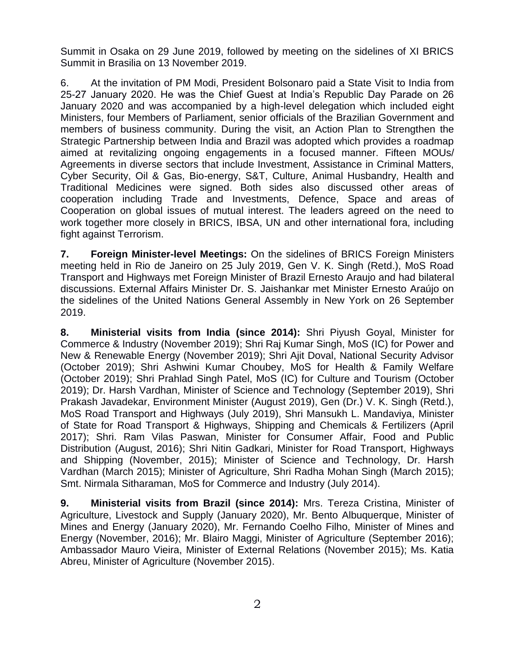Summit in Osaka on 29 June 2019, followed by meeting on the sidelines of XI BRICS Summit in Brasilia on 13 November 2019.

6. At the invitation of PM Modi, President Bolsonaro paid a State Visit to India from 25-27 January 2020. He was the Chief Guest at India's Republic Day Parade on 26 January 2020 and was accompanied by a high-level delegation which included eight Ministers, four Members of Parliament, senior officials of the Brazilian Government and members of business community. During the visit, an Action Plan to Strengthen the Strategic Partnership between India and Brazil was adopted which provides a roadmap aimed at revitalizing ongoing engagements in a focused manner. Fifteen MOUs/ Agreements in diverse sectors that include Investment, Assistance in Criminal Matters, Cyber Security, Oil & Gas, Bio-energy, S&T, Culture, Animal Husbandry, Health and Traditional Medicines were signed. Both sides also discussed other areas of cooperation including Trade and Investments, Defence, Space and areas of Cooperation on global issues of mutual interest. The leaders agreed on the need to work together more closely in BRICS, IBSA, UN and other international fora, including fight against Terrorism.

**7. Foreign Minister-level Meetings:** On the sidelines of BRICS Foreign Ministers meeting held in Rio de Janeiro on 25 July 2019, Gen V. K. Singh (Retd.), MoS Road Transport and Highways met Foreign Minister of Brazil Ernesto Araujo and had bilateral discussions. External Affairs Minister Dr. S. Jaishankar met Minister Ernesto Araújo on the sidelines of the United Nations General Assembly in New York on 26 September 2019.

**8. Ministerial visits from India (since 2014):** Shri Piyush Goyal, Minister for Commerce & Industry (November 2019); Shri Raj Kumar Singh, MoS (IC) for Power and New & Renewable Energy (November 2019); Shri Ajit Doval, National Security Advisor (October 2019); Shri Ashwini Kumar Choubey, MoS for Health & Family Welfare (October 2019); Shri Prahlad Singh Patel, MoS (IC) for Culture and Tourism (October 2019); Dr. Harsh Vardhan, Minister of Science and Technology (September 2019), Shri Prakash Javadekar, Environment Minister (August 2019), Gen (Dr.) V. K. Singh (Retd.), MoS Road Transport and Highways (July 2019), Shri Mansukh L. Mandaviya, Minister of State for Road Transport & Highways, Shipping and Chemicals & Fertilizers (April 2017); Shri. Ram Vilas Paswan, Minister for Consumer Affair, Food and Public Distribution (August, 2016); Shri Nitin Gadkari, Minister for Road Transport, Highways and Shipping (November, 2015); Minister of Science and Technology, Dr. Harsh Vardhan (March 2015); Minister of Agriculture, Shri Radha Mohan Singh (March 2015); Smt. Nirmala Sitharaman, MoS for Commerce and Industry (July 2014).

**9. Ministerial visits from Brazil (since 2014):** Mrs. Tereza Cristina, Minister of Agriculture, Livestock and Supply (January 2020), Mr. Bento Albuquerque, Minister of Mines and Energy (January 2020), Mr. Fernando Coelho Filho, Minister of Mines and Energy (November, 2016); Mr. Blairo Maggi, Minister of Agriculture (September 2016); Ambassador Mauro Vieira, Minister of External Relations (November 2015); Ms. Katia Abreu, Minister of Agriculture (November 2015).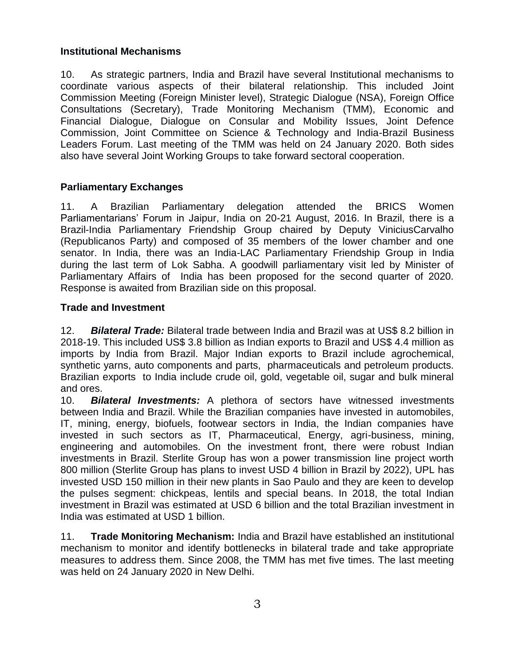#### **Institutional Mechanisms**

10. As strategic partners, India and Brazil have several Institutional mechanisms to coordinate various aspects of their bilateral relationship. This included Joint Commission Meeting (Foreign Minister level), Strategic Dialogue (NSA), Foreign Office Consultations (Secretary), Trade Monitoring Mechanism (TMM), Economic and Financial Dialogue, Dialogue on Consular and Mobility Issues, Joint Defence Commission, Joint Committee on Science & Technology and India-Brazil Business Leaders Forum. Last meeting of the TMM was held on 24 January 2020. Both sides also have several Joint Working Groups to take forward sectoral cooperation.

# **Parliamentary Exchanges**

11. A Brazilian Parliamentary delegation attended the BRICS Women Parliamentarians' Forum in Jaipur, India on 20-21 August, 2016. In Brazil, there is a Brazil-India Parliamentary Friendship Group chaired by Deputy ViniciusCarvalho (Republicanos Party) and composed of 35 members of the lower chamber and one senator. In India, there was an India-LAC Parliamentary Friendship Group in India during the last term of Lok Sabha. A goodwill parliamentary visit led by Minister of Parliamentary Affairs of India has been proposed for the second quarter of 2020. Response is awaited from Brazilian side on this proposal.

#### **Trade and Investment**

12. *Bilateral Trade:* Bilateral trade between India and Brazil was at US\$ 8.2 billion in 2018-19. This included US\$ 3.8 billion as Indian exports to Brazil and US\$ 4.4 million as imports by India from Brazil. Major Indian exports to Brazil include agrochemical, synthetic yarns, auto components and parts, pharmaceuticals and petroleum products. Brazilian exports to India include crude oil, gold, vegetable oil, sugar and bulk mineral and ores.

10. *Bilateral Investments:* A plethora of sectors have witnessed investments between India and Brazil. While the Brazilian companies have invested in automobiles, IT, mining, energy, biofuels, footwear sectors in India, the Indian companies have invested in such sectors as IT, Pharmaceutical, Energy, agri-business, mining, engineering and automobiles. On the investment front, there were robust Indian investments in Brazil. Sterlite Group has won a power transmission line project worth 800 million (Sterlite Group has plans to invest USD 4 billion in Brazil by 2022), UPL has invested USD 150 million in their new plants in Sao Paulo and they are keen to develop the pulses segment: chickpeas, lentils and special beans. In 2018, the total Indian investment in Brazil was estimated at USD 6 billion and the total Brazilian investment in India was estimated at USD 1 billion.

11. **Trade Monitoring Mechanism:** India and Brazil have established an institutional mechanism to monitor and identify bottlenecks in bilateral trade and take appropriate measures to address them. Since 2008, the TMM has met five times. The last meeting was held on 24 January 2020 in New Delhi.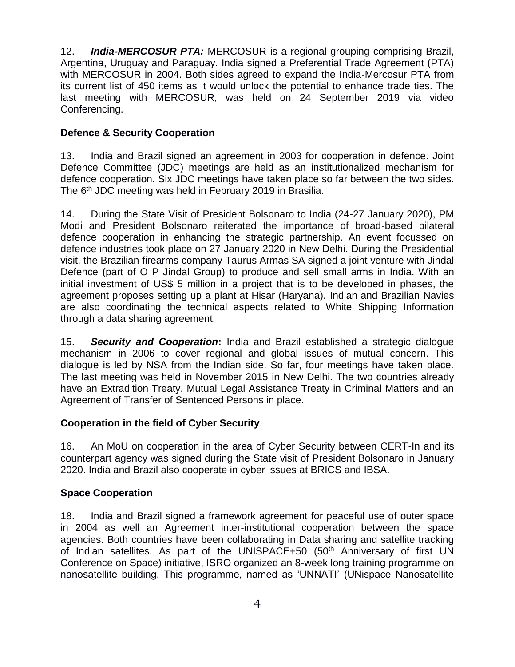12. *India-MERCOSUR PTA:* MERCOSUR is a regional grouping comprising Brazil, Argentina, Uruguay and Paraguay. India signed a Preferential Trade Agreement (PTA) with MERCOSUR in 2004. Both sides agreed to expand the India-Mercosur PTA from its current list of 450 items as it would unlock the potential to enhance trade ties. The last meeting with MERCOSUR, was held on 24 September 2019 via video Conferencing.

### **Defence & Security Cooperation**

13. India and Brazil signed an agreement in 2003 for cooperation in defence. Joint Defence Committee (JDC) meetings are held as an institutionalized mechanism for defence cooperation. Six JDC meetings have taken place so far between the two sides. The 6<sup>th</sup> JDC meeting was held in February 2019 in Brasilia.

14. During the State Visit of President Bolsonaro to India (24-27 January 2020), PM Modi and President Bolsonaro reiterated the importance of broad-based bilateral defence cooperation in enhancing the strategic partnership. An event focussed on defence industries took place on 27 January 2020 in New Delhi. During the Presidential visit, the Brazilian firearms company Taurus Armas SA signed a joint venture with Jindal Defence (part of O P Jindal Group) to produce and sell small arms in India. With an initial investment of US\$ 5 million in a project that is to be developed in phases, the agreement proposes setting up a plant at Hisar (Haryana). Indian and Brazilian Navies are also coordinating the technical aspects related to White Shipping Information through a data sharing agreement.

15. *Security and Cooperation***:** India and Brazil established a strategic dialogue mechanism in 2006 to cover regional and global issues of mutual concern. This dialogue is led by NSA from the Indian side. So far, four meetings have taken place. The last meeting was held in November 2015 in New Delhi. The two countries already have an Extradition Treaty, Mutual Legal Assistance Treaty in Criminal Matters and an Agreement of Transfer of Sentenced Persons in place.

# **Cooperation in the field of Cyber Security**

16. An MoU on cooperation in the area of Cyber Security between CERT-In and its counterpart agency was signed during the State visit of President Bolsonaro in January 2020. India and Brazil also cooperate in cyber issues at BRICS and IBSA.

#### **Space Cooperation**

18. India and Brazil signed a framework agreement for peaceful use of outer space in 2004 as well an Agreement inter-institutional cooperation between the space agencies. Both countries have been collaborating in Data sharing and satellite tracking of Indian satellites. As part of the UNISPACE+50 (50<sup>th</sup> Anniversary of first UN Conference on Space) initiative, ISRO organized an 8-week long training programme on nanosatellite building. This programme, named as 'UNNATI' (UNispace Nanosatellite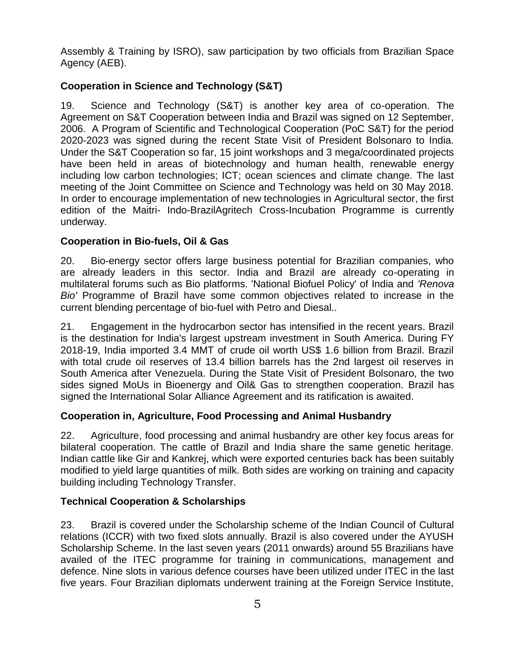Assembly & Training by ISRO), saw participation by two officials from Brazilian Space Agency (AEB).

# **Cooperation in Science and Technology (S&T)**

19. Science and Technology (S&T) is another key area of co-operation. The Agreement on S&T Cooperation between India and Brazil was signed on 12 September, 2006. A Program of Scientific and Technological Cooperation (PoC S&T) for the period 2020-2023 was signed during the recent State Visit of President Bolsonaro to India. Under the S&T Cooperation so far, 15 joint workshops and 3 mega/coordinated projects have been held in areas of biotechnology and human health, renewable energy including low carbon technologies; ICT; ocean sciences and climate change. The last meeting of the Joint Committee on Science and Technology was held on 30 May 2018. In order to encourage implementation of new technologies in Agricultural sector, the first edition of the Maitri- Indo-BrazilAgritech Cross-Incubation Programme is currently underway.

# **Cooperation in Bio-fuels, Oil & Gas**

20. Bio-energy sector offers large business potential for Brazilian companies, who are already leaders in this sector. India and Brazil are already co-operating in multilateral forums such as Bio platforms. 'National Biofuel Policy' of India and *'Renova Bio'* Programme of Brazil have some common objectives related to increase in the current blending percentage of bio-fuel with Petro and Diesal..

21. Engagement in the hydrocarbon sector has intensified in the recent years. Brazil is the destination for India's largest upstream investment in South America. During FY 2018-19, India imported 3.4 MMT of crude oil worth US\$ 1.6 billion from Brazil. Brazil with total crude oil reserves of 13.4 billion barrels has the 2nd largest oil reserves in South America after Venezuela. During the State Visit of President Bolsonaro, the two sides signed MoUs in Bioenergy and Oil& Gas to strengthen cooperation. Brazil has signed the International Solar Alliance Agreement and its ratification is awaited.

# **Cooperation in, Agriculture, Food Processing and Animal Husbandry**

22. Agriculture, food processing and animal husbandry are other key focus areas for bilateral cooperation. The cattle of Brazil and India share the same genetic heritage. Indian cattle like Gir and Kankrej, which were exported centuries back has been suitably modified to yield large quantities of milk. Both sides are working on training and capacity building including Technology Transfer.

#### **Technical Cooperation & Scholarships**

23. Brazil is covered under the Scholarship scheme of the Indian Council of Cultural relations (ICCR) with two fixed slots annually. Brazil is also covered under the AYUSH Scholarship Scheme. In the last seven years (2011 onwards) around 55 Brazilians have availed of the ITEC programme for training in communications, management and defence. Nine slots in various defence courses have been utilized under ITEC in the last five years. Four Brazilian diplomats underwent training at the Foreign Service Institute,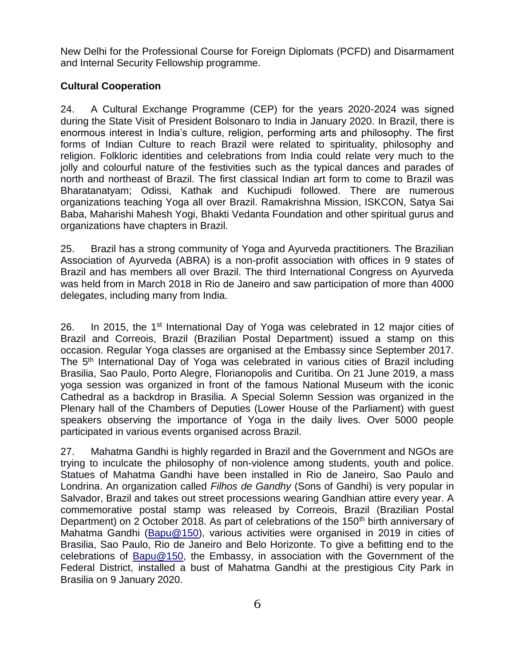New Delhi for the Professional Course for Foreign Diplomats (PCFD) and Disarmament and Internal Security Fellowship programme.

### **Cultural Cooperation**

24. A Cultural Exchange Programme (CEP) for the years 2020-2024 was signed during the State Visit of President Bolsonaro to India in January 2020. In Brazil, there is enormous interest in India's culture, religion, performing arts and philosophy. The first forms of Indian Culture to reach Brazil were related to spirituality, philosophy and religion. Folkloric identities and celebrations from India could relate very much to the jolly and colourful nature of the festivities such as the typical dances and parades of north and northeast of Brazil. The first classical Indian art form to come to Brazil was Bharatanatyam; Odissi, Kathak and Kuchipudi followed. There are numerous organizations teaching Yoga all over Brazil. Ramakrishna Mission, ISKCON, Satya Sai Baba, Maharishi Mahesh Yogi, Bhakti Vedanta Foundation and other spiritual gurus and organizations have chapters in Brazil.

25. Brazil has a strong community of Yoga and Ayurveda practitioners. The Brazilian Association of Ayurveda (ABRA) is a non-profit association with offices in 9 states of Brazil and has members all over Brazil. The third International Congress on Ayurveda was held from in March 2018 in Rio de Janeiro and saw participation of more than 4000 delegates, including many from India.

26. In 2015, the 1<sup>st</sup> International Day of Yoga was celebrated in 12 major cities of Brazil and Correois, Brazil (Brazilian Postal Department) issued a stamp on this occasion. Regular Yoga classes are organised at the Embassy since September 2017. The 5<sup>th</sup> International Day of Yoga was celebrated in various cities of Brazil including Brasilia, Sao Paulo, Porto Alegre, Florianopolis and Curitiba. On 21 June 2019, a mass yoga session was organized in front of the famous National Museum with the iconic Cathedral as a backdrop in Brasilia. A Special Solemn Session was organized in the Plenary hall of the Chambers of Deputies (Lower House of the Parliament) with guest speakers observing the importance of Yoga in the daily lives. Over 5000 people participated in various events organised across Brazil.

27. Mahatma Gandhi is highly regarded in Brazil and the Government and NGOs are trying to inculcate the philosophy of non-violence among students, youth and police. Statues of Mahatma Gandhi have been installed in Rio de Janeiro, Sao Paulo and Londrina. An organization called *Filhos de Gandhy* (Sons of Gandhi) is very popular in Salvador, Brazil and takes out street processions wearing Gandhian attire every year. A commemorative postal stamp was released by Correois, Brazil (Brazilian Postal Department) on 2 October 2018. As part of celebrations of the 150<sup>th</sup> birth anniversary of Mahatma Gandhi [\(Bapu@150\)](mailto:Bapu@150), various activities were organised in 2019 in cities of Brasilia, Sao Paulo, Rio de Janeiro and Belo Horizonte. To give a befitting end to the celebrations of [Bapu@150,](mailto:Bapu@150) the Embassy, in association with the Government of the Federal District, installed a bust of Mahatma Gandhi at the prestigious City Park in Brasilia on 9 January 2020.